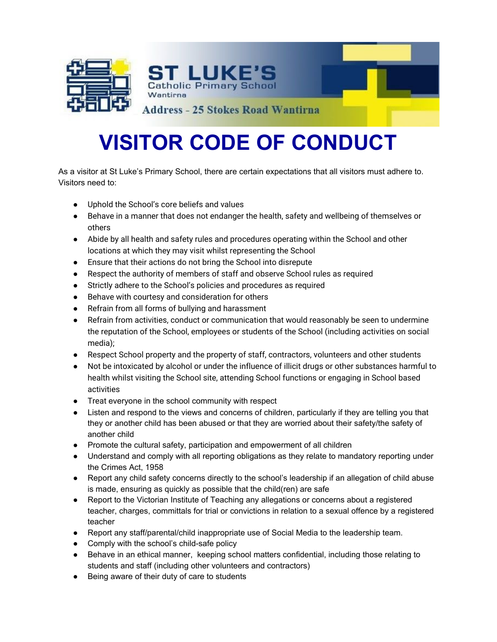

## **VISITOR CODE OF CONDUCT**

**Address - 25 Stokes Road Wantirna** 

As a visitor at St Luke's Primary School, there are certain expectations that all visitors must adhere to. Visitors need to:

- Uphold the School's core beliefs and values
- Behave in a manner that does not endanger the health, safety and wellbeing of themselves or others
- Abide by all health and safety rules and procedures operating within the School and other locations at which they may visit whilst representing the School
- Ensure that their actions do not bring the School into disrepute
- Respect the authority of members of staff and observe School rules as required
- Strictly adhere to the School's policies and procedures as required

ST LUKE'I **Catholic Primary School** 

- Behave with courtesy and consideration for others
- Refrain from all forms of bullying and harassment
- Refrain from activities, conduct or communication that would reasonably be seen to undermine the reputation of the School, employees or students of the School (including activities on social media);
- Respect School property and the property of staff, contractors, volunteers and other students
- Not be intoxicated by alcohol or under the influence of illicit drugs or other substances harmful to health whilst visiting the School site, attending School functions or engaging in School based activities
- Treat everyone in the school community with respect
- Listen and respond to the views and concerns of children, particularly if they are telling you that they or another child has been abused or that they are worried about their safety/the safety of another child
- Promote the cultural safety, participation and empowerment of all children
- Understand and comply with all reporting obligations as they relate to mandatory reporting under the Crimes Act, 1958
- Report any child safety concerns directly to the school's leadership if an allegation of child abuse is made, ensuring as quickly as possible that the child(ren) are safe
- Report to the Victorian Institute of Teaching any allegations or concerns about a registered teacher, charges, committals for trial or convictions in relation to a sexual offence by a registered teacher
- Report any staff/parental/child inappropriate use of Social Media to the leadership team.
- Comply with the school's child-safe policy
- Behave in an ethical manner, keeping school matters confidential, including those relating to students and staff (including other volunteers and contractors)
- Being aware of their duty of care to students